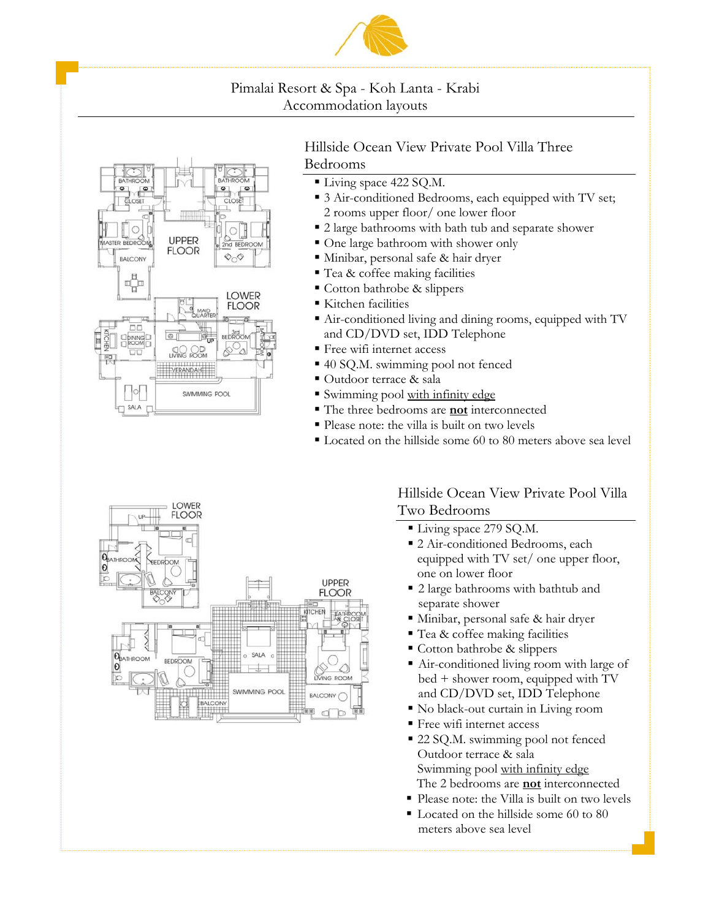



## Hillside Ocean View Private Pool Villa Three Bedrooms

- Living space 422 SQ.M.
- 3 Air-conditioned Bedrooms, each equipped with TV set; 2 rooms upper floor/ one lower floor
- 2 large bathrooms with bath tub and separate shower
- One large bathroom with shower only
- Minibar, personal safe & hair dryer
- Tea & coffee making facilities
- Cotton bathrobe & slippers
- Kitchen facilities
- Air-conditioned living and dining rooms, equipped with TV and CD/DVD set, IDD Telephone
- Free wifi internet access
- 40 SQ.M. swimming pool not fenced
- Outdoor terrace & sala
- Swimming pool with infinity edge
- The three bedrooms are **not** interconnected
- Please note: the villa is built on two levels
- Located on the hillside some 60 to 80 meters above sea level



## Hillside Ocean View Private Pool Villa Two Bedrooms

- Living space 279 SQ.M.
- 2 Air-conditioned Bedrooms, each equipped with TV set/ one upper floor, one on lower floor
- 2 large bathrooms with bathtub and separate shower
- Minibar, personal safe & hair dryer
- Tea & coffee making facilities
- Cotton bathrobe & slippers
- Air-conditioned living room with large of bed + shower room, equipped with TV and CD/DVD set, IDD Telephone
- No black-out curtain in Living room
- Free wifi internet access
- 22 SQ.M. swimming pool not fenced Outdoor terrace & sala Swimming pool with infinity edge The 2 bedrooms are **not** interconnected
- Please note: the Villa is built on two levels
- Located on the hillside some 60 to 80 meters above sea level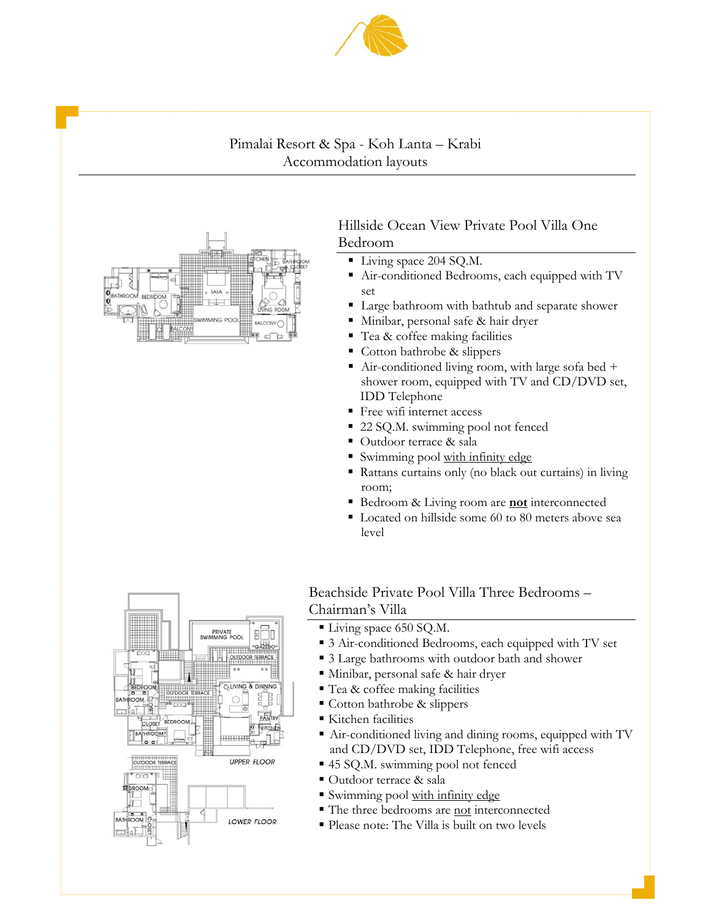



## Hillside Ocean View Private Pool Villa One Bedroom

- Living space 204 SQ.M.
- Air-conditioned Bedrooms, each equipped with TV set
- Large bathroom with bathtub and separate shower
- Minibar, personal safe & hair dryer
- Tea & coffee making facilities
- Cotton bathrobe & slippers
- Air-conditioned living room, with large sofa bed  $+$ shower room, equipped with TV and CD/DVD set, IDD Telephone
- **Free wifi internet access**
- 22 SQ.M. swimming pool not fenced
- Outdoor terrace & sala
- Swimming pool with infinity edge
- Rattans curtains only (no black out curtains) in living room;
- Bedroom & Living room are **not** interconnected
- Located on hillside some 60 to 80 meters above sea level



## Beachside Private Pool Villa Three Bedrooms – Chairman's Villa

- Living space 650 SQ.M.
- 3 Air-conditioned Bedrooms, each equipped with TV set
- 3 Large bathrooms with outdoor bath and shower
- Minibar, personal safe & hair dryer
- Tea & coffee making facilities
- Cotton bathrobe & slippers
- Kitchen facilities
- Air-conditioned living and dining rooms, equipped with TV and CD/DVD set, IDD Telephone, free wifi access
- 45 SQ.M. swimming pool not fenced
- Outdoor terrace & sala
- Swimming pool with infinity edge
- The three bedrooms are not interconnected
- Please note: The Villa is built on two levels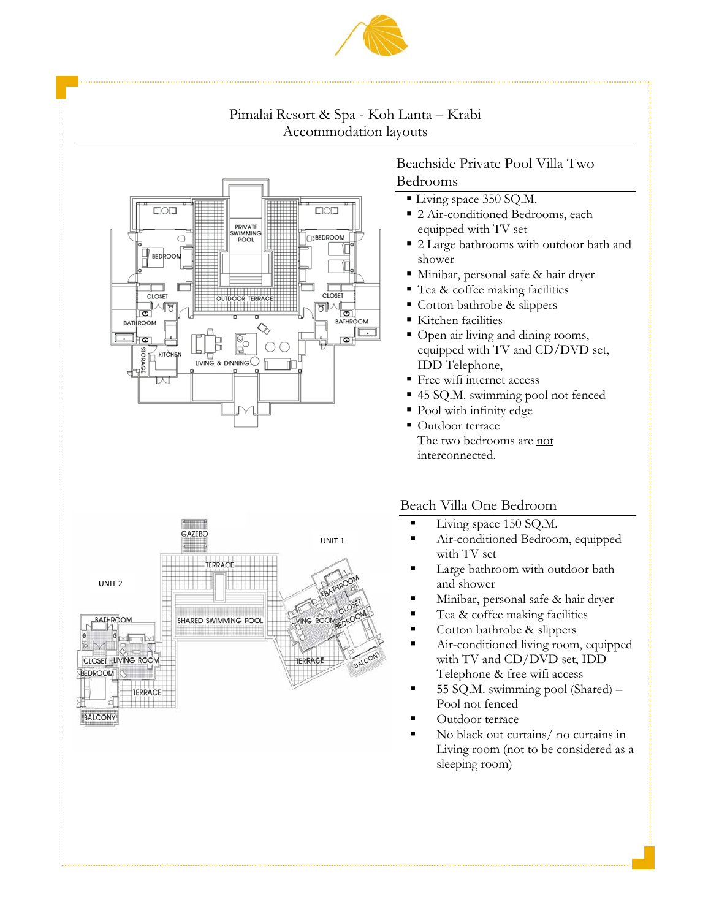





## Beachside Private Pool Villa Two Bedrooms

- Living space 350 SQ.M.
- 2 Air-conditioned Bedrooms, each equipped with TV set
- 2 Large bathrooms with outdoor bath and shower
- Minibar, personal safe & hair dryer
- Tea & coffee making facilities
- Cotton bathrobe & slippers
- Kitchen facilities
- Open air living and dining rooms, equipped with TV and CD/DVD set, IDD Telephone,
- Free wifi internet access
- 45 SQ.M. swimming pool not fenced
- Pool with infinity edge
- Outdoor terrace The two bedrooms are not interconnected.

### Beach Villa One Bedroom

- **Living space 150 SQ.M.**
- Air-conditioned Bedroom, equipped with TV set
- **Large bathroom with outdoor bath** and shower
- Minibar, personal safe & hair dryer
- Tea & coffee making facilities
- Cotton bathrobe & slippers
- Air-conditioned living room, equipped with TV and CD/DVD set, IDD Telephone & free wifi access
- $\blacksquare$  55 SQ.M. swimming pool (Shared) Pool not fenced
- **Cutdoor terrace**
- No black out curtains/ no curtains in Living room (not to be considered as a sleeping room)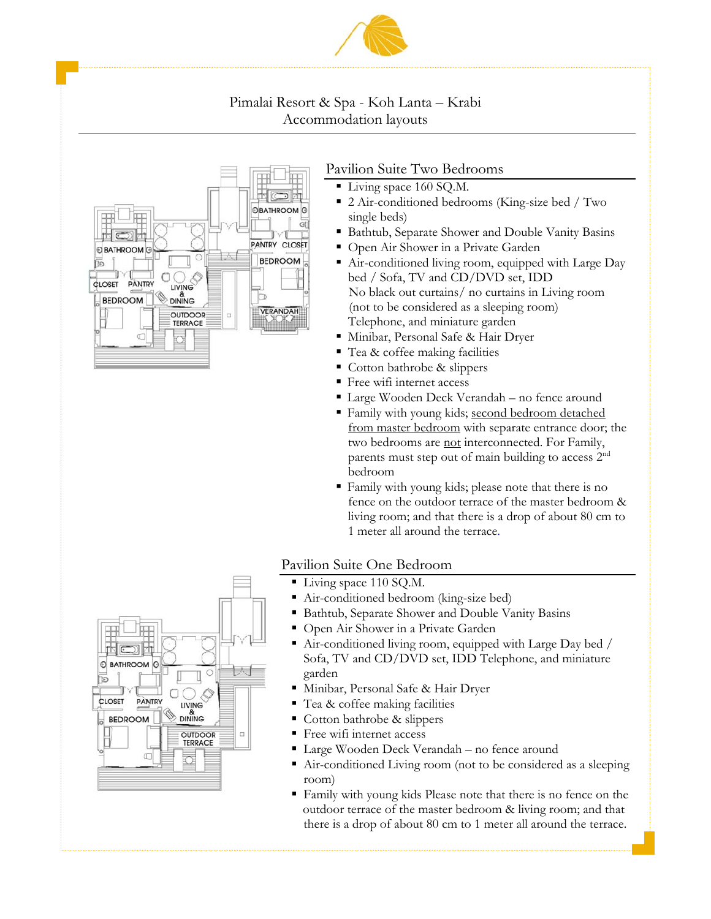



## Pavilion Suite Two Bedrooms

- Living space 160 SQ.M.
- 2 Air-conditioned bedrooms (King-size bed / Two single beds)
- Bathtub, Separate Shower and Double Vanity Basins
- Open Air Shower in a Private Garden
- Air-conditioned living room, equipped with Large Day bed / Sofa, TV and CD/DVD set, IDD No black out curtains/ no curtains in Living room (not to be considered as a sleeping room) Telephone, and miniature garden
- Minibar, Personal Safe & Hair Dryer
- Tea & coffee making facilities
- Cotton bathrobe & slippers
- Free wifi internet access
- Large Wooden Deck Verandah no fence around
- Family with young kids; second bedroom detached from master bedroom with separate entrance door; the two bedrooms are not interconnected. For Family, parents must step out of main building to access  $2^{nd}$ bedroom
- Family with young kids; please note that there is no fence on the outdoor terrace of the master bedroom & living room; and that there is a drop of about 80 cm to 1 meter all around the terrace.

## Pavilion Suite One Bedroom

- Living space 110 SQ.M.
- Air-conditioned bedroom (king-size bed)
- Bathtub, Separate Shower and Double Vanity Basins
- Open Air Shower in a Private Garden
- Air-conditioned living room, equipped with Large Day bed / Sofa, TV and CD/DVD set, IDD Telephone, and miniature garden
- Minibar, Personal Safe & Hair Dryer
- Tea & coffee making facilities
- Cotton bathrobe & slippers
- Free wifi internet access
- Large Wooden Deck Verandah no fence around
- Air-conditioned Living room (not to be considered as a sleeping room)
- Family with young kids Please note that there is no fence on the outdoor terrace of the master bedroom & living room; and that there is a drop of about 80 cm to 1 meter all around the terrace.